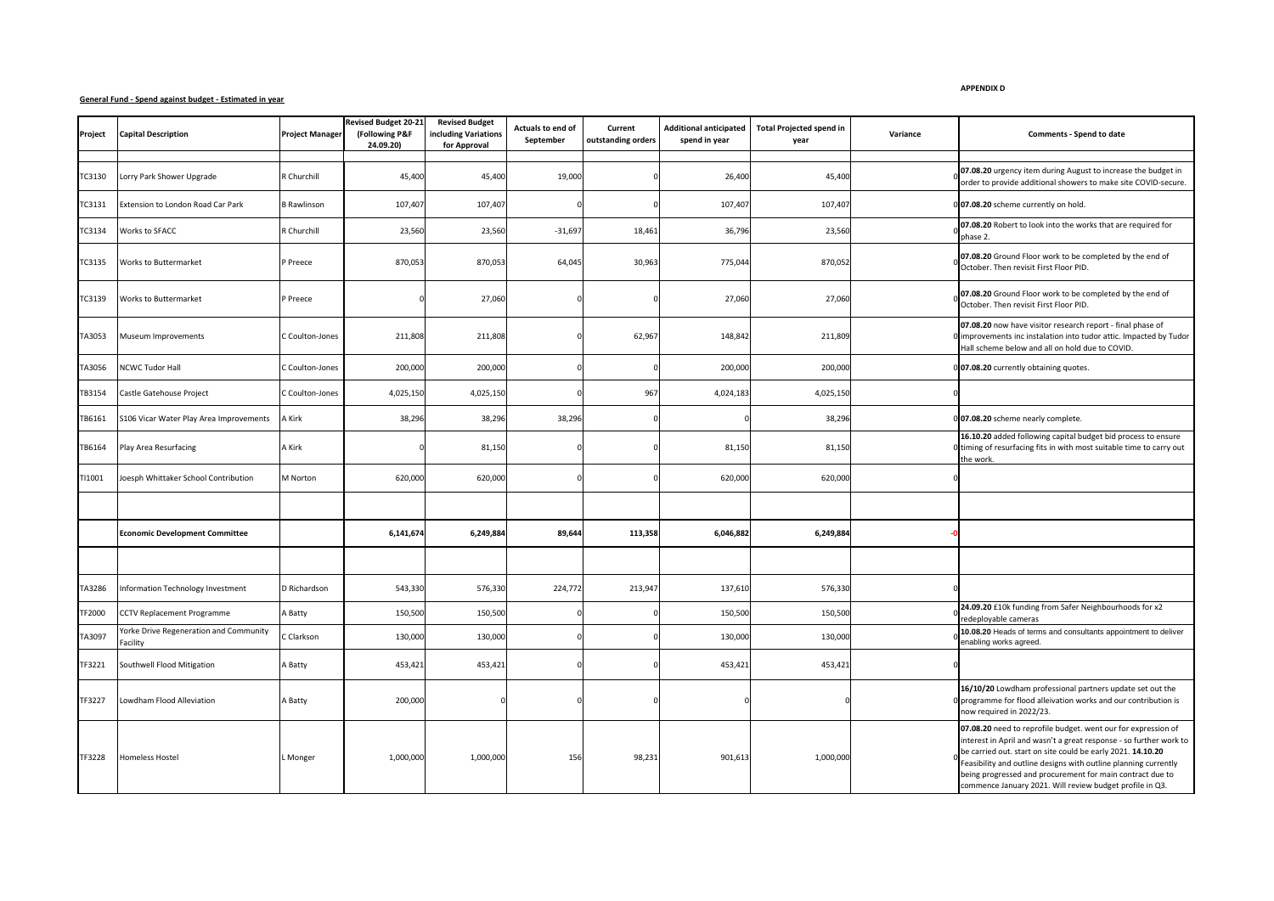## **General Fund - Spend against budget - Estimated in year**

**APPENDIX D**

| Project | <b>Capital Description</b>                         | <b>Project Manager</b> | <b>Revised Budget 20-21</b><br>(Following P&F<br>24.09.20) | <b>Revised Budget</b><br>including Variations<br>for Approval | Actuals to end of<br>September | Current<br>outstanding orders | <b>Additional anticipated</b><br>spend in year | <b>Total Projected spend in</b><br>year | Variance | Comments - Spend to date                                                                                                                                                                                                                                                                                                                                                                       |
|---------|----------------------------------------------------|------------------------|------------------------------------------------------------|---------------------------------------------------------------|--------------------------------|-------------------------------|------------------------------------------------|-----------------------------------------|----------|------------------------------------------------------------------------------------------------------------------------------------------------------------------------------------------------------------------------------------------------------------------------------------------------------------------------------------------------------------------------------------------------|
|         |                                                    |                        |                                                            |                                                               |                                |                               |                                                |                                         |          |                                                                                                                                                                                                                                                                                                                                                                                                |
| TC3130  | Lorry Park Shower Upgrade                          | R Churchill            | 45,400                                                     | 45,400                                                        | 19,000                         |                               | 26,400                                         | 45,400                                  |          | 07.08.20 urgency item during August to increase the budget in<br>order to provide additional showers to make site COVID-secure.                                                                                                                                                                                                                                                                |
| TC3131  | Extension to London Road Car Park                  | <b>B</b> Rawlinson     | 107,40                                                     | 107,407                                                       |                                |                               | 107,407                                        | 107,40                                  |          | 07.08.20 scheme currently on hold.                                                                                                                                                                                                                                                                                                                                                             |
| TC3134  | Works to SFACC                                     | R Churchill            | 23,560                                                     | 23,560                                                        | $-31,69$                       | 18,461                        | 36,796                                         | 23,560                                  |          | 07.08.20 Robert to look into the works that are required for<br>phase 2.                                                                                                                                                                                                                                                                                                                       |
| TC3135  | Works to Buttermarket                              | P Preece               | 870,053                                                    | 870,053                                                       | 64,045                         | 30,963                        | 775,044                                        | 870,052                                 |          | 07.08.20 Ground Floor work to be completed by the end of<br>October. Then revisit First Floor PID.                                                                                                                                                                                                                                                                                             |
| TC3139  | <b>Works to Buttermarket</b>                       | P Preece               |                                                            | 27,060                                                        |                                |                               | 27,060                                         | 27,060                                  |          | 07.08.20 Ground Floor work to be completed by the end of<br>October. Then revisit First Floor PID.                                                                                                                                                                                                                                                                                             |
| TA3053  | Museum Improvements                                | Coulton-Jones          | 211,808                                                    | 211,808                                                       |                                | 62,967                        | 148,842                                        | 211,809                                 |          | 07.08.20 now have visitor research report - final phase of<br>improvements inc instalation into tudor attic. Impacted by Tudor<br>Hall scheme below and all on hold due to COVID.                                                                                                                                                                                                              |
| TA3056  | <b>NCWC Tudor Hall</b>                             | Coulton-Jones          | 200,000                                                    | 200,000                                                       |                                |                               | 200,000                                        | 200,000                                 |          | 0 07.08.20 currently obtaining quotes.                                                                                                                                                                                                                                                                                                                                                         |
| TB3154  | Castle Gatehouse Project                           | Coulton-Jones          | 4,025,150                                                  | 4,025,150                                                     |                                | 967                           | 4,024,183                                      | 4,025,150                               |          |                                                                                                                                                                                                                                                                                                                                                                                                |
| TB6161  | S106 Vicar Water Play Area Improvements            | A Kirk                 | 38,296                                                     | 38,296                                                        | 38,296                         |                               |                                                | 38,296                                  |          | 07.08.20 scheme nearly complete.                                                                                                                                                                                                                                                                                                                                                               |
| TB6164  | Play Area Resurfacing                              | A Kirk                 |                                                            | 81,150                                                        |                                |                               | 81,150                                         | 81,150                                  |          | 16.10.20 added following capital budget bid process to ensure<br>I timing of resurfacing fits in with most suitable time to carry out<br>the work.                                                                                                                                                                                                                                             |
| TI1001  | Joesph Whittaker School Contribution               | M Norton               | 620,000                                                    | 620,000                                                       |                                |                               | 620,000                                        | 620,000                                 |          |                                                                                                                                                                                                                                                                                                                                                                                                |
|         |                                                    |                        |                                                            |                                                               |                                |                               |                                                |                                         |          |                                                                                                                                                                                                                                                                                                                                                                                                |
|         | <b>Economic Development Committee</b>              |                        | 6,141,674                                                  | 6,249,884                                                     | 89,644                         | 113,358                       | 6,046,882                                      | 6,249,884                               |          |                                                                                                                                                                                                                                                                                                                                                                                                |
|         |                                                    |                        |                                                            |                                                               |                                |                               |                                                |                                         |          |                                                                                                                                                                                                                                                                                                                                                                                                |
| TA3286  | Information Technology Investment                  | D Richardson           | 543,330                                                    | 576,330                                                       | 224,772                        | 213,94                        | 137,610                                        | 576,330                                 |          |                                                                                                                                                                                                                                                                                                                                                                                                |
| TF2000  | CCTV Replacement Programme                         | A Batty                | 150,500                                                    | 150,500                                                       |                                |                               | 150,500                                        | 150,500                                 |          | 24.09.20 £10k funding from Safer Neighbourhoods for x2<br>redeployable cameras                                                                                                                                                                                                                                                                                                                 |
| TA3097  | Yorke Drive Regeneration and Community<br>Facility | C Clarkson             | 130,000                                                    | 130,000                                                       |                                |                               | 130,000                                        | 130,000                                 |          | 10.08.20 Heads of terms and consultants appointment to deliver<br>enabling works agreed.                                                                                                                                                                                                                                                                                                       |
| TF3221  | Southwell Flood Mitigation                         | A Batty                | 453,421                                                    | 453,421                                                       |                                |                               | 453,421                                        | 453,421                                 |          |                                                                                                                                                                                                                                                                                                                                                                                                |
| TF3227  | Lowdham Flood Alleviation                          | A Batty                | 200,000                                                    |                                                               |                                |                               |                                                |                                         |          | 16/10/20 Lowdham professional partners update set out the<br>D programme for flood alleivation works and our contribution is<br>now required in 2022/23.                                                                                                                                                                                                                                       |
| TF3228  | Homeless Hostel                                    | L Monger               | 1.000.000                                                  | 1,000,000                                                     | 156                            | 98,231                        | 901,613                                        | 1,000,000                               |          | 07.08.20 need to reprofile budget. went our for expression of<br>interest in April and wasn't a great response - so further work to<br>be carried out. start on site could be early 2021. 14.10.20<br>Feasibility and outline designs with outline planning currently<br>being progressed and procurement for main contract due to<br>commence January 2021. Will review budget profile in Q3. |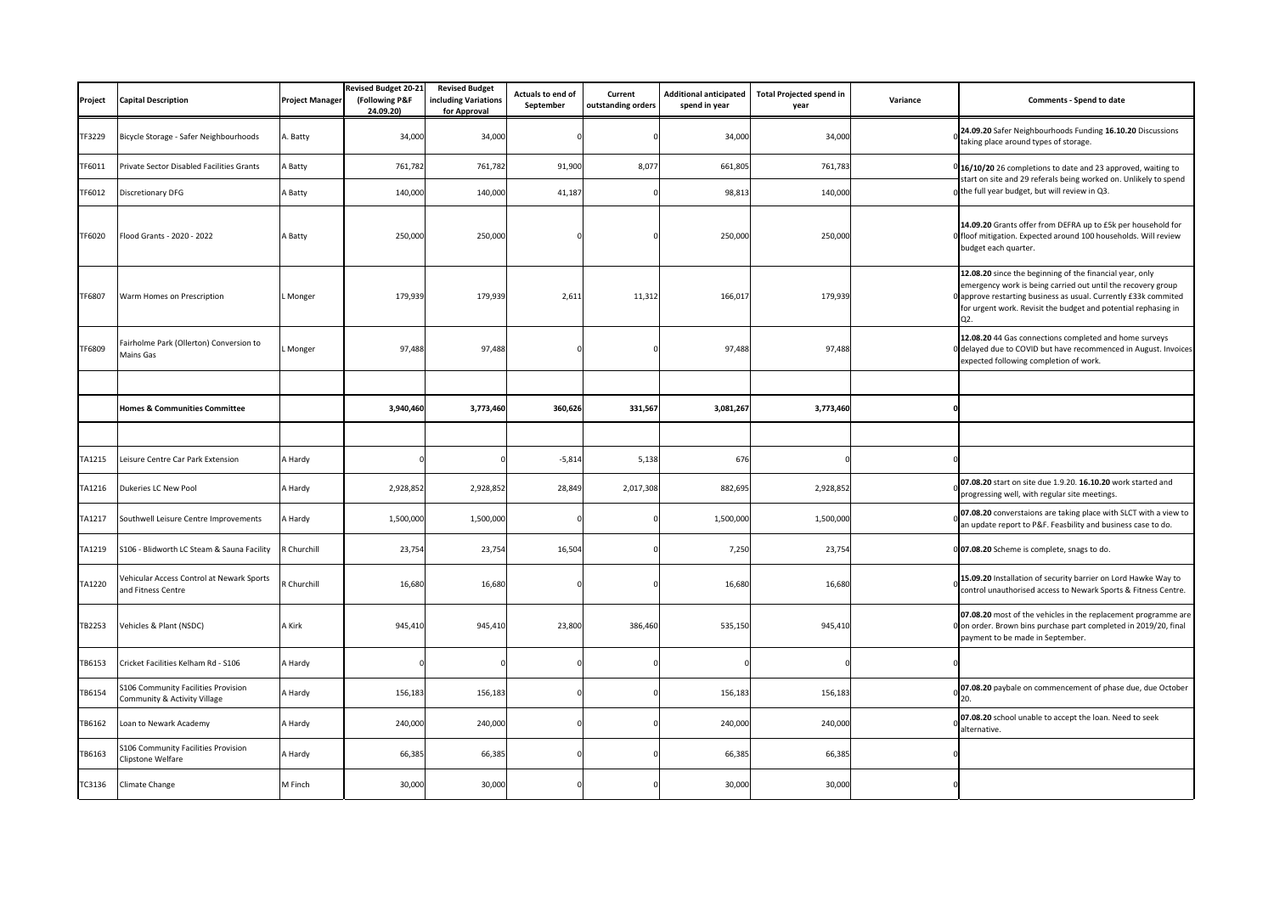| Project | <b>Capital Description</b>                                          | <b>Project Manager</b> | <b>Revised Budget 20-21</b><br>(Following P&F<br>24.09.20) | <b>Revised Budget</b><br>including Variations<br>for Approval | Actuals to end of<br>September | Current<br>outstanding orders | <b>Additional anticipated</b><br>spend in year | <b>Total Projected spend in</b><br>year | Variance | <b>Comments - Spend to date</b>                                                                                                                                                                                                                                                 |
|---------|---------------------------------------------------------------------|------------------------|------------------------------------------------------------|---------------------------------------------------------------|--------------------------------|-------------------------------|------------------------------------------------|-----------------------------------------|----------|---------------------------------------------------------------------------------------------------------------------------------------------------------------------------------------------------------------------------------------------------------------------------------|
| TF3229  | Bicycle Storage - Safer Neighbourhoods                              | A. Batty               | 34,000                                                     | 34,000                                                        |                                |                               | 34,000                                         | 34,000                                  |          | 24.09.20 Safer Neighbourhoods Funding 16.10.20 Discussions<br>taking place around types of storage.                                                                                                                                                                             |
| TF6011  | Private Sector Disabled Facilities Grants                           | A Batty                | 761,782                                                    | 761,782                                                       | 91,900                         | 8,077                         | 661,805                                        | 761,783                                 |          | 16/10/20 26 completions to date and 23 approved, waiting to<br>start on site and 29 referals being worked on. Unlikely to spend<br>the full year budget, but will review in Q3.                                                                                                 |
| TF6012  | Discretionary DFG                                                   | A Batty                | 140,000                                                    | 140,000                                                       | 41,187                         |                               | 98,81                                          | 140,000                                 |          |                                                                                                                                                                                                                                                                                 |
| TF6020  | Flood Grants - 2020 - 2022                                          | A Batty                | 250,000                                                    | 250,00                                                        |                                |                               | 250,000                                        | 250,000                                 |          | 14.09.20 Grants offer from DEFRA up to £5k per household for<br>floof mitigation. Expected around 100 households. Will review<br>budget each quarter.                                                                                                                           |
| TF6807  | Warm Homes on Prescription                                          | Monger                 | 179,939                                                    | 179,93                                                        | 2,611                          | 11,312                        | 166,01                                         | 179,93                                  |          | 12.08.20 since the beginning of the financial year, only<br>emergency work is being carried out until the recovery group<br>approve restarting business as usual. Currently £33k commited<br>for urgent work. Revisit the budget and potential rephasing in<br>Q <sub>2</sub> . |
| TF6809  | Fairholme Park (Ollerton) Conversion to<br>Mains Gas                | Monger                 | 97,488                                                     | 97,488                                                        |                                |                               | 97,488                                         | 97,488                                  |          | 12.08.20 44 Gas connections completed and home surveys<br>delayed due to COVID but have recommenced in August. Invoices<br>expected following completion of work.                                                                                                               |
|         |                                                                     |                        |                                                            |                                                               |                                |                               |                                                |                                         |          |                                                                                                                                                                                                                                                                                 |
|         | <b>Homes &amp; Communities Committee</b>                            |                        | 3,940,460                                                  | 3,773,460                                                     | 360,626                        | 331,567                       | 3,081,267                                      | 3,773,460                               |          |                                                                                                                                                                                                                                                                                 |
|         |                                                                     |                        |                                                            |                                                               |                                |                               |                                                |                                         |          |                                                                                                                                                                                                                                                                                 |
| TA1215  | Leisure Centre Car Park Extension                                   | A Hardy                |                                                            |                                                               | $-5,814$                       | 5,138                         | 676                                            |                                         |          |                                                                                                                                                                                                                                                                                 |
| TA1216  | Dukeries LC New Pool                                                | A Hardy                | 2,928,852                                                  | 2,928,85                                                      | 28,849                         | 2,017,308                     | 882,695                                        | 2,928,85                                |          | 07.08.20 start on site due 1.9.20. 16.10.20 work started and<br>progressing well, with regular site meetings.                                                                                                                                                                   |
| TA1217  | Southwell Leisure Centre Improvements                               | A Hardy                | 1,500,000                                                  | 1,500,000                                                     |                                |                               | 1,500,000                                      | 1,500,000                               |          | 07.08.20 converstaions are taking place with SLCT with a view to<br>an update report to P&F. Feasbility and business case to do.                                                                                                                                                |
| TA1219  | S106 - Blidworth LC Steam & Sauna Facility                          | R Churchill            | 23,754                                                     | 23,754                                                        | 16,504                         |                               | 7,250                                          | 23,754                                  |          | 0 07.08.20 Scheme is complete, snags to do.                                                                                                                                                                                                                                     |
| TA1220  | Vehicular Access Control at Newark Sports<br>and Fitness Centre     | R Churchill            | 16,680                                                     | 16,68                                                         |                                |                               | 16,680                                         | 16,68                                   |          | 15.09.20 Installation of security barrier on Lord Hawke Way to<br>control unauthorised access to Newark Sports & Fitness Centre.                                                                                                                                                |
| TB2253  | Vehicles & Plant (NSDC)                                             | A Kirk                 | 945,410                                                    | 945,410                                                       | 23,800                         | 386,460                       | 535,150                                        | 945,410                                 |          | 07.08.20 most of the vehicles in the replacement programme are<br>0 on order. Brown bins purchase part completed in 2019/20, final<br>payment to be made in September.                                                                                                          |
| TB6153  | Cricket Facilities Kelham Rd - S106                                 | A Hardy                |                                                            |                                                               |                                |                               |                                                |                                         |          |                                                                                                                                                                                                                                                                                 |
| TB6154  | 5106 Community Facilities Provision<br>Community & Activity Village | A Hardy                | 156,183                                                    | 156,183                                                       |                                |                               | 156,183                                        | 156,183                                 |          | 07.08.20 paybale on commencement of phase due, due October                                                                                                                                                                                                                      |
| TB6162  | Loan to Newark Academy                                              | A Hardy                | 240,000                                                    | 240,000                                                       |                                |                               | 240,000                                        | 240,000                                 |          | 07.08.20 school unable to accept the loan. Need to seek<br>alternative.                                                                                                                                                                                                         |
| TB6163  | 5106 Community Facilities Provision<br>Clipstone Welfare            | A Hardy                | 66,385                                                     | 66,385                                                        |                                |                               | 66,385                                         | 66,385                                  |          |                                                                                                                                                                                                                                                                                 |
| TC3136  | Climate Change                                                      | M Finch                | 30,000                                                     | 30,000                                                        |                                |                               | 30,000                                         | 30,000                                  |          |                                                                                                                                                                                                                                                                                 |